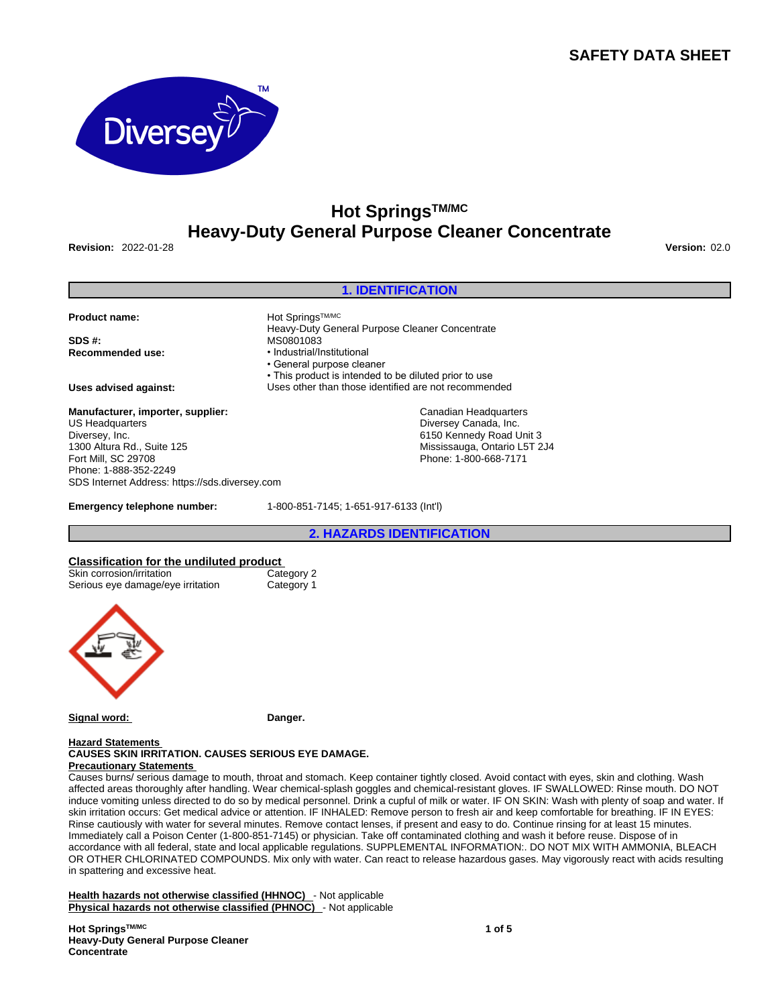# **SAFETY DATA SHEET**



# **Hot SpringsTM/MC Heavy-Duty General Purpose Cleaner Concentrate**

**Revision:** 2022-01-28 **Version:** 02.0

# **1. IDENTIFICATION**

Product name: **Product name: Hot SpringsTM/MC** 

**SDS #:** MS0801083

**Manufacturer, importer, supplier:** US Headquarters Diversey, Inc. 1300 Altura Rd., Suite 125 Fort Mill, SC 29708 Phone: 1-888-352-2249 SDS Internet Address: https://sds.diversey.com

**Emergency telephone number:** 1-800-851-7145; 1-651-917-6133 (Int'l)

**Recommended use:** • Industrial/Institutional • General purpose cleaner • This product is intended to be diluted prior to use **Uses advised against:** Uses other than those identified are not recommended

Heavy-Duty General Purpose Cleaner Concentrate

Canadian Headquarters Diversey Canada, Inc. 6150 Kennedy Road Unit 3 Mississauga, Ontario L5T 2J4 Phone: 1-800-668-7171

**2. HAZARDS IDENTIFICATION**

# **Classification for the undiluted product**

| Skin corrosion/irritation         | Category 2 |  |
|-----------------------------------|------------|--|
| Serious eye damage/eye irritation | Category 1 |  |



Signal word: Danger.

### **Hazard Statements CAUSES SKIN IRRITATION. CAUSES SERIOUS EYE DAMAGE. Precautionary Statements**

Causes burns/ serious damage to mouth, throat and stomach. Keep container tightly closed. Avoid contact with eyes, skin and clothing. Wash affected areas thoroughly after handling. Wear chemical-splash goggles and chemical-resistant gloves. IF SWALLOWED: Rinse mouth. DO NOT induce vomiting unless directed to do so by medical personnel. Drink a cupful of milk or water. IF ON SKIN: Wash with plenty of soap and water. If skin irritation occurs: Get medical advice or attention. IF INHALED: Remove person to fresh air and keep comfortable for breathing. IF IN EYES: Rinse cautiously with water for several minutes. Remove contact lenses, if present and easy to do. Continue rinsing for at least 15 minutes. Immediately call a Poison Center (1-800-851-7145) or physician. Take off contaminated clothing and wash it before reuse. Dispose of in accordance with all federal, state and local applicable regulations. SUPPLEMENTAL INFORMATION:. DO NOT MIX WITH AMMONIA, BLEACH OR OTHER CHLORINATED COMPOUNDS. Mix only with water. Can react to release hazardous gases. May vigorously react with acids resulting in spattering and excessive heat.

**Health hazards not otherwise classified (HHNOC)** - Not applicable **Physical hazards not otherwise classified (PHNOC)** - Not applicable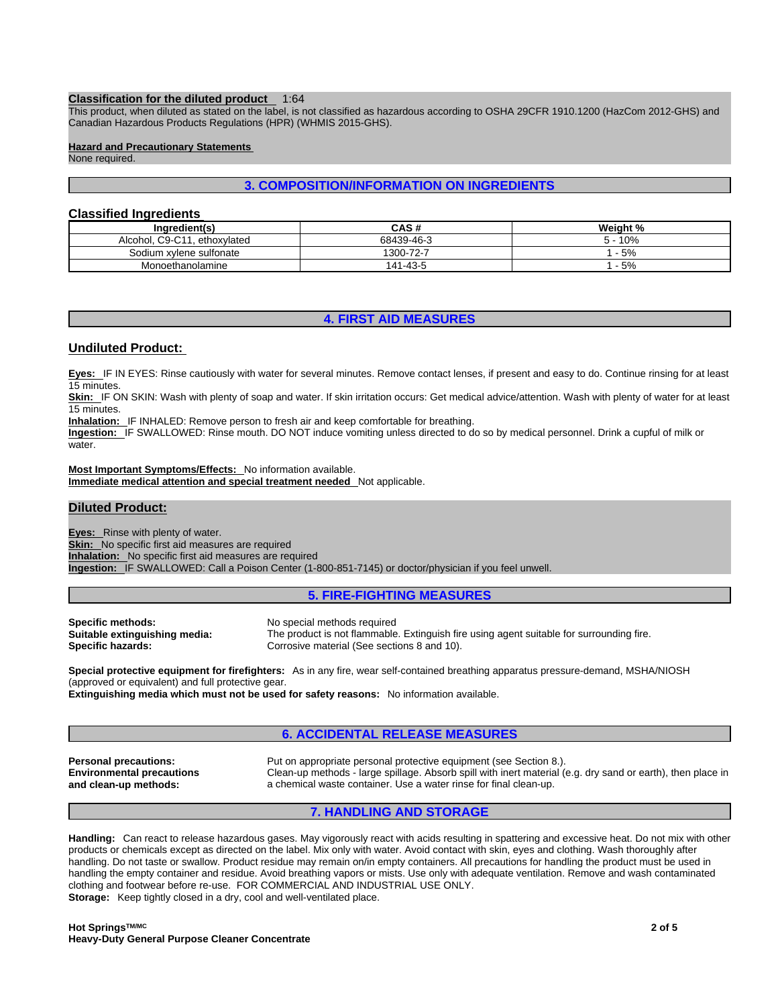### **Classification for the diluted product** 1:64

This product, when diluted as stated on the label, is not classified as hazardous according to OSHA 29CFR 1910.1200 (HazCom 2012-GHS) and Canadian Hazardous Products Regulations (HPR) (WHMIS 2015-GHS).

## **Hazard and Precautionary Statements**

None required.

# **3. COMPOSITION/INFORMATION ON INGREDIENTS**

# **Classified Ingredients**

| Ingredient(s)                     | CAS#       | Weight % |
|-----------------------------------|------------|----------|
| C9-C11<br>Alcohol.<br>ethoxylated | 68439-46-3 | 10%      |
| Sodium xylene sulfonate           | 1300-72-7  | $-5%$    |
| Monoethanolamine                  | 141-43-5   | $-5%$    |

# **4. FIRST AID MEASURES**

# **Undiluted Product:**

**Eyes:** IF IN EYES: Rinse cautiously with water for several minutes. Remove contact lenses, if present and easy to do. Continue rinsing for at least 15 minutes.

Skin: IF ON SKIN: Wash with plenty of soap and water. If skin irritation occurs: Get medical advice/attention. Wash with plenty of water for at least 15 minutes.

**Inhalation:** IF INHALED: Remove person to fresh air and keep comfortable for breathing.

Ingestion: IF SWALLOWED: Rinse mouth. DO NOT induce vomiting unless directed to do so by medical personnel. Drink a cupful of milk or water.

**Most Important Symptoms/Effects:** No information available. **Immediate medical attention and special treatment needed** Not applicable.

# **Diluted Product:**

**Eyes:** Rinse with plenty of water. **Skin:** No specific first aid measures are required **Inhalation:** No specific first aid measures are required **Ingestion:** IF SWALLOWED: Call a Poison Center (1-800-851-7145) or doctor/physician if you feel unwell.

# **5. FIRE-FIGHTING MEASURES**

| Specific methods:             | No special methods required                                                              |
|-------------------------------|------------------------------------------------------------------------------------------|
| Suitable extinguishing media: | The product is not flammable. Extinguish fire using agent suitable for surrounding fire. |
| Specific hazards:             | Corrosive material (See sections 8 and 10).                                              |

**Special protective equipment for firefighters:** As in any fire, wear self-contained breathing apparatus pressure-demand, MSHA/NIOSH (approved or equivalent) and full protective gear.

**Extinguishing media which must not be used for safety reasons:** No information available.

# **6. ACCIDENTAL RELEASE MEASURES**

**Environmental precautions and clean-up methods:** 

**Personal precautions:** Put on appropriate personal protective equipment (see Section 8.). Clean-up methods - large spillage. Absorb spill with inert material (e.g. dry sand or earth), then place in a chemical waste container. Use a water rinse for final clean-up.

# **7. HANDLING AND STORAGE**

**Handling:** Can react to release hazardous gases. May vigorously react with acids resulting in spattering and excessive heat. Do not mix with other products or chemicals except as directed on the label. Mix only with water. Avoid contact with skin, eyes and clothing. Wash thoroughly after handling. Do not taste or swallow. Product residue may remain on/in empty containers. All precautions for handling the product must be used in handling the empty container and residue. Avoid breathing vapors or mists. Use only with adequate ventilation. Remove and wash contaminated clothing and footwear before re-use. FOR COMMERCIAL AND INDUSTRIAL USE ONLY. **Storage:** Keep tightly closed in a dry, cool and well-ventilated place.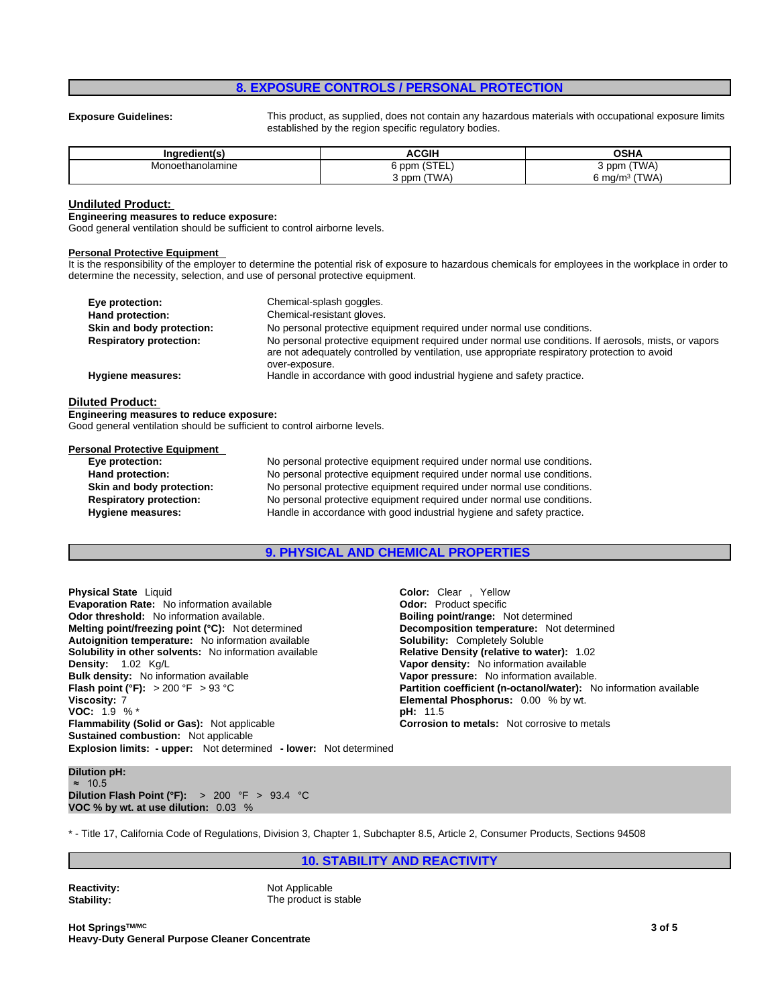# **8. EXPOSURE CONTROLS / PERSONAL PROTECTION**

**Exposure Guidelines:** This product, as supplied, does not contain any hazardous materials with occupational exposure limits established by the region specific regulatory bodies.

| Ingredient(s)    | <b>ACGIH</b>                 | <b>OSHA</b>                   |
|------------------|------------------------------|-------------------------------|
| Monoethanolamine | $20 - 1$<br>ppm<br>10 I L L. | (TWA)<br>3 ppm                |
|                  | (TWA)<br>3 ppm               | (TWA)<br>−mα/m <sup>3</sup> ب |

### **Undiluted Product:**

### **Engineering measures to reduce exposure:**

Good general ventilation should be sufficient to control airborne levels.

### **Personal Protective Equipment**

It is the responsibility of the employer to determine the potential risk of exposure to hazardous chemicals for employees in the workplace in order to determine the necessity, selection, and use of personal protective equipment.

| Eye protection:                | Chemical-splash goggles.                                                                                                                                                                              |
|--------------------------------|-------------------------------------------------------------------------------------------------------------------------------------------------------------------------------------------------------|
| Hand protection:               | Chemical-resistant gloves.                                                                                                                                                                            |
| Skin and body protection:      | No personal protective equipment required under normal use conditions.                                                                                                                                |
| <b>Respiratory protection:</b> | No personal protective equipment required under normal use conditions. If aerosols, mists, or vapors<br>are not adequately controlled by ventilation, use appropriate respiratory protection to avoid |
| <b>Hygiene measures:</b>       | over-exposure.<br>Handle in accordance with good industrial hygiene and safety practice.                                                                                                              |

### **Diluted Product:**

**Engineering measures to reduce exposure:**

Good general ventilation should be sufficient to control airborne levels.

| <b>Personal Protective Equipment</b> |                                                                        |
|--------------------------------------|------------------------------------------------------------------------|
| Eye protection:                      | No personal protective equipment required under normal use conditions. |
| Hand protection:                     | No personal protective equipment required under normal use conditions. |
| Skin and body protection:            | No personal protective equipment required under normal use conditions. |
| <b>Respiratory protection:</b>       | No personal protective equipment required under normal use conditions. |
| Hygiene measures:                    | Handle in accordance with good industrial hygiene and safety practice. |
|                                      |                                                                        |

## **9. PHYSICAL AND CHEMICAL PROPERTIES**

**Explosion limits: - upper:** Not determined **- lower:** Not determined **Physical State** Liquid **Color:** Clear , Yellow **Evaporation Rate:** No information available **Odor:** Product specific **Odor threshold:** No information available. **Boiling point/range: Not determined Melting point/freezing point (°C):** Not determined **Melting point/freezing point (°C):** Not determined **Melting point/freezing point (°C):** Not determined **Autoignition temperature:** No information available **Solubility:** Completely Soluble **Solubility in other solvents:** No information available **Relative Density (relative to water):** 1.02 Kg/L<br>**Density:** 1.02 Kg/L **Bulk density:** No information available **Vapor pressure:** No information available. **Flash point (°F):** > 200 °F > 93 °C **Partition coefficient (n-octanol/water):** No information available **Viscosity:** 7 **CONFINITY CONFINITY CONTENT CONTENT PHOSPHORUS: 0.00 % by wt.<br>
<b>VOC:** 1.9 % \* **VOC:** 1.9 % \* **Flammability (Solid or Gas):** Not applicable **Corrosion to metals:** Not corrosive to metals **Sustained combustion:** Not applicable

**Vapor density:** No information available

# **Dilution pH:** ≈ 10.5

**Dilution Flash Point (°F):** > 200 °F > 93.4 °C **VOC % by wt. at use dilution:** 0.03 %

\* - Title 17, California Code of Regulations, Division 3, Chapter 1, Subchapter 8.5, Article 2, Consumer Products, Sections 94508

**10. STABILITY AND REACTIVITY**

**Reactivity:** Not Applicable Stability: Not Applicable Stability: The product is stable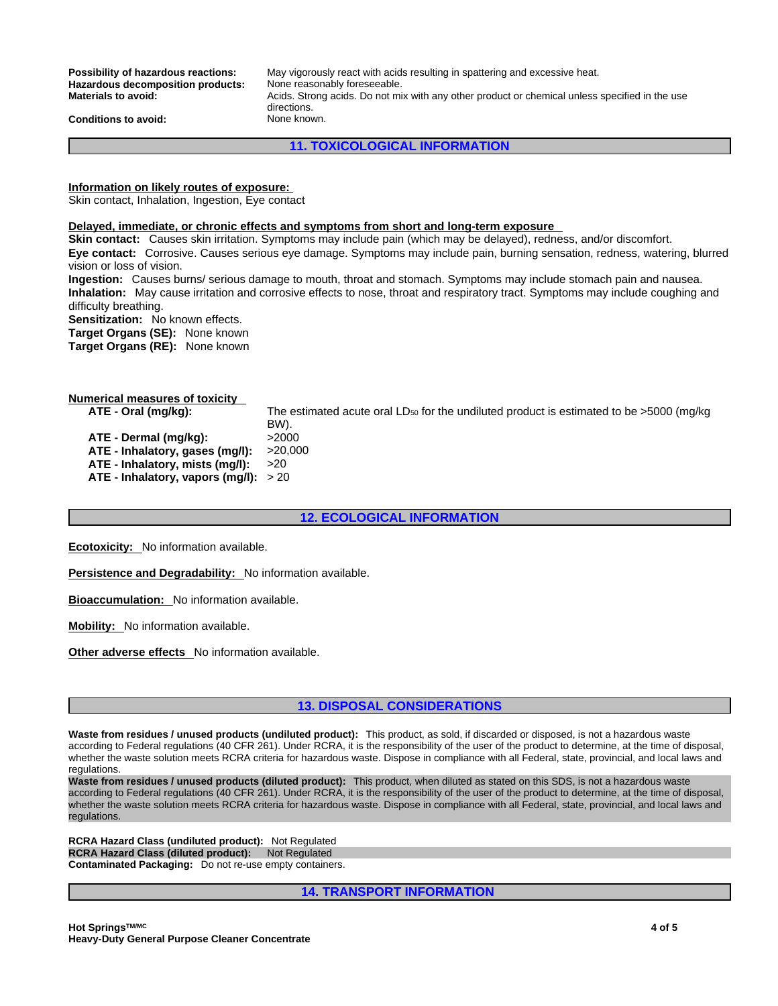Hazardous decomposition products:

**Possibility of hazardous reactions:** May vigorously react with acids resulting in spattering and excessive heat.<br>Hazardous decomposition products: None reasonably foreseeable. **Materials to avoid:** Acids. Strong acids. Do not mix with any other product or chemical unless specified in the use directions.

**Conditions to avoid:** None known.

**11. TOXICOLOGICAL INFORMATION**

**Information on likely routes of exposure:**

Skin contact, Inhalation, Ingestion, Eye contact

### **Delayed, immediate, or chronic effects and symptoms from short and long-term exposure**

**Skin contact:** Causes skin irritation. Symptoms may include pain (which may be delayed), redness, and/or discomfort. **Eye contact:** Corrosive. Causes serious eye damage. Symptoms may include pain, burning sensation, redness, watering, blurred vision or loss of vision.

**Ingestion:** Causes burns/ serious damage to mouth, throat and stomach. Symptoms may include stomach pain and nausea. **Inhalation:** May cause irritation and corrosive effects to nose, throat and respiratory tract. Symptoms may include coughing and difficulty breathing.

**Sensitization:** No known effects.

**Target Organs (SE):** None known

**Target Organs (RE):** None known

| <b>Numerical measures of toxicity</b>  |                                                                                                        |
|----------------------------------------|--------------------------------------------------------------------------------------------------------|
| ATE - Oral (mg/kg):                    | The estimated acute oral LD <sub>50</sub> for the undiluted product is estimated to be $>5000$ (mg/kg) |
|                                        | BW).                                                                                                   |
| ATE - Dermal (mg/kg):                  | >2000                                                                                                  |
| ATE - Inhalatory, gases (mg/l):        | >20.000                                                                                                |
| ATE - Inhalatory, mists (mg/l):        | >20                                                                                                    |
| ATE - Inhalatory, vapors (mq/l): $>20$ |                                                                                                        |
|                                        |                                                                                                        |

# **12. ECOLOGICAL INFORMATION**

**Ecotoxicity:** No information available.

**Persistence and Degradability:** No information available.

**Bioaccumulation:** No information available.

**Mobility:** No information available.

**Other adverse effects** No information available.

# **13. DISPOSAL CONSIDERATIONS**

**Waste from residues / unused products (undiluted product):** This product, as sold, if discarded or disposed, is not a hazardous waste according to Federal regulations (40 CFR 261). Under RCRA, it is the responsibility of the user of the product to determine, at the time of disposal, whether the waste solution meets RCRA criteria for hazardous waste. Dispose in compliance with all Federal, state, provincial, and local laws and regulations.

**Waste from residues / unused products (diluted product):** This product, when diluted as stated on this SDS, is not a hazardous waste according to Federal regulations (40 CFR 261). Under RCRA, it is the responsibility of the user of the product to determine, at the time of disposal, whether the waste solution meets RCRA criteria for hazardous waste. Dispose in compliance with all Federal, state, provincial, and local laws and<br>regulations.

**RCRA Hazard Class (undiluted product):** Not Regulated **RCRA Hazard Class (diluted product): Not Regulated Contaminated Packaging:** Do not re-use empty containers.

**14. TRANSPORT INFORMATION**